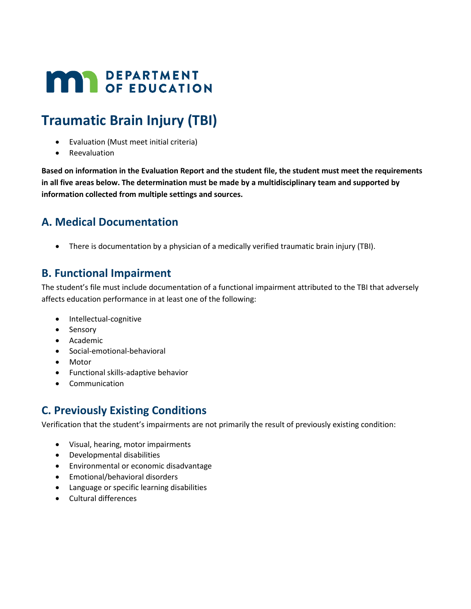# **MAY DEPARTMENT**

## **Traumatic Brain Injury (TBI)**

- Evaluation (Must meet initial criteria)
- Reevaluation

**Based on information in the Evaluation Report and the student file, the student must meet the requirements in all five areas below. The determination must be made by a multidisciplinary team and supported by information collected from multiple settings and sources.**

#### **A. Medical Documentation**

• There is documentation by a physician of a medically verified traumatic brain injury (TBI).

#### **B. Functional Impairment**

The student's file must include documentation of a functional impairment attributed to the TBI that adversely affects education performance in at least one of the following:

- Intellectual-cognitive
- Sensory
- Academic
- Social-emotional-behavioral
- Motor
- Functional skills-adaptive behavior
- Communication

### **C. Previously Existing Conditions**

Verification that the student's impairments are not primarily the result of previously existing condition:

- Visual, hearing, motor impairments
- Developmental disabilities
- Environmental or economic disadvantage
- Emotional/behavioral disorders
- Language or specific learning disabilities
- Cultural differences